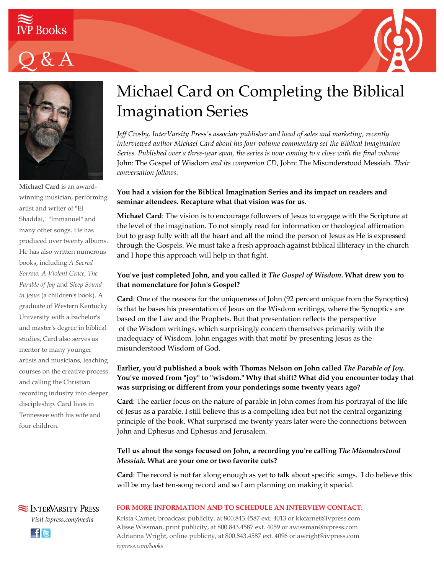







**Michael Card** is an awardwinning musician, performing artist and writer of "El Shaddai," "Immanuel" and many other songs. He has produced over twenty albums. He has also written numerous books, including *A Sacred Sorrow, A Violent Grace, The Parable of Joy* and *Sleep Sound in Jesus* (a children's book). A graduate of Western Kentucky University with a bachelor's and master's degree in biblical studies, Card also serves as mentor to many younger artists and musicians, teaching courses on the creative process and calling the Christian recording industry into deeper discipleship. Card lives in Tennessee with his wife and four children.

# Michael Card on Completing the Biblical Imagination Series

*Jeff Crosby, InterVarsity Press's associate publisher and head of sales and marketing, recently interviewed author Michael Card about his four-volume commentary set the Biblical Imagination Series. Published over a three-year span, the series is now coming to a close with the final volume* John: The Gospel of Wisdom *and its companion CD*, John: The Misunderstood Messiah. *Their conversation follows.*

## **You had a vision for the Biblical Imagination Series and its impact on readers and seminar attendees. Recapture what that vision was for us.**

**Michael Card**: The vision is to encourage followers of Jesus to engage with the Scripture at the level of the imagination. To not simply read for information or theological affirmation but to grasp fully with all the heart and all the mind the person of Jesus as He is expressed through the Gospels. We must take a fresh approach against biblical illiteracy in the church and I hope this approach will help in that fight.

# **You've just completed John, and you called it** *The Gospel of Wisdom***. What drew you to that nomenclature for John's Gospel?**

**Card**: One of the reasons for the uniqueness of John (92 percent unique from the Synoptics) is that he bases his presentation of Jesus on the Wisdom writings, where the Synoptics are based on the Law and the Prophets. But that presentation reflects the perspective of the Wisdom writings, which surprisingly concern themselves primarily with the inadequacy of Wisdom. John engages with that motif by presenting Jesus as the misunderstood Wisdom of God.

## **Earlier, you'd published a book with Thomas Nelson on John called** *The Parable of Joy***. You've moved from "joy" to "wisdom." Why that shift? What did you encounter today that was surprising or different from your ponderings some twenty years ago?**

**Card**: The earlier focus on the nature of parable in John comes from his portrayal of the life of Jesus as a parable. I still believe this is a compelling idea but not the central organizing principle of the book. What surprised me twenty years later were the connections between John and Ephesus and Ephesus and Jerusalem.

# **Tell us about the songs focused on John, a recording you're calling** *The Misunderstood Messiah***. What are your one or two favorite cuts?**

**Card**: The record is not far along enough as yet to talk about specific songs. I do believe this will be my last ten-song record and so I am planning on making it special.

## **FOR MORE INFORMATION AND TO SCHEDULE AN INTERVIEW CONTACT:**

Krista Carnet, broadcast publicity, at 800.843.4587 ext. 4013 or kkcarnet@ivpress.com Alisse Wissman, print publicity, at 800.843.4587 ext. 4059 or awissman@ivpress.com Adrianna Wright, online publicity, at 800.843.4587 ext. 4096 or awright@ivpress.com *ivpress.com/books*

**SEX INTERVARSITY PRESS** *Visit ivpress.com/media* **Ele**